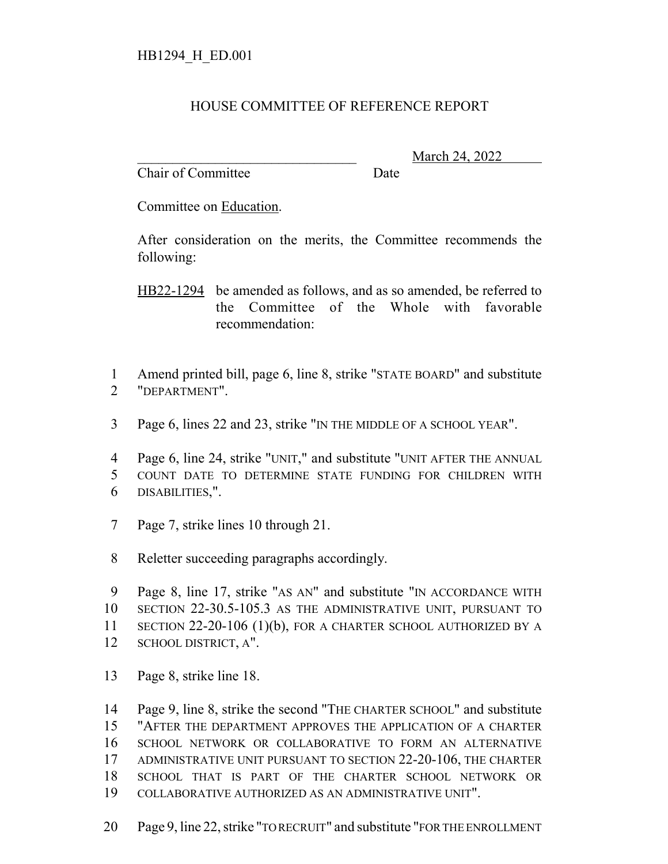## HOUSE COMMITTEE OF REFERENCE REPORT

Chair of Committee Date

\_\_\_\_\_\_\_\_\_\_\_\_\_\_\_\_\_\_\_\_\_\_\_\_\_\_\_\_\_\_\_ March 24, 2022

Committee on Education.

After consideration on the merits, the Committee recommends the following:

HB22-1294 be amended as follows, and as so amended, be referred to the Committee of the Whole with favorable recommendation:

 Amend printed bill, page 6, line 8, strike "STATE BOARD" and substitute "DEPARTMENT".

Page 6, lines 22 and 23, strike "IN THE MIDDLE OF A SCHOOL YEAR".

 Page 6, line 24, strike "UNIT," and substitute "UNIT AFTER THE ANNUAL COUNT DATE TO DETERMINE STATE FUNDING FOR CHILDREN WITH DISABILITIES,".

- Page 7, strike lines 10 through 21.
- Reletter succeeding paragraphs accordingly.

 Page 8, line 17, strike "AS AN" and substitute "IN ACCORDANCE WITH SECTION 22-30.5-105.3 AS THE ADMINISTRATIVE UNIT, PURSUANT TO SECTION 22-20-106 (1)(b), FOR A CHARTER SCHOOL AUTHORIZED BY A SCHOOL DISTRICT, A".

Page 8, strike line 18.

 Page 9, line 8, strike the second "THE CHARTER SCHOOL" and substitute "AFTER THE DEPARTMENT APPROVES THE APPLICATION OF A CHARTER SCHOOL NETWORK OR COLLABORATIVE TO FORM AN ALTERNATIVE ADMINISTRATIVE UNIT PURSUANT TO SECTION 22-20-106, THE CHARTER SCHOOL THAT IS PART OF THE CHARTER SCHOOL NETWORK OR COLLABORATIVE AUTHORIZED AS AN ADMINISTRATIVE UNIT".

Page 9, line 22, strike "TO RECRUIT" and substitute "FOR THE ENROLLMENT